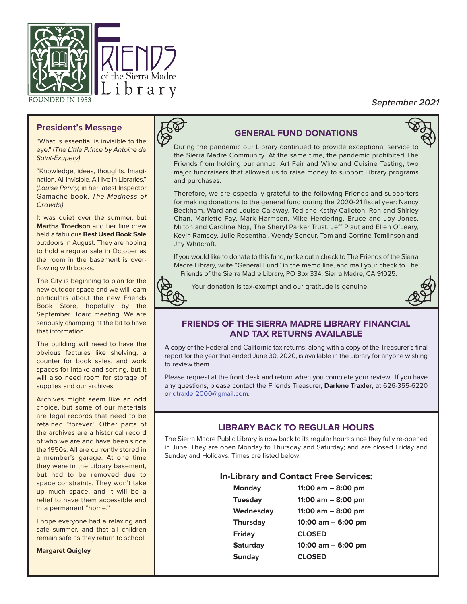

# **September 2021**

# **President's Message**

"What is essential is invisible to the eye." (The Little Prince by Antoine de Saint-Exupery)

"Knowledge, ideas, thoughts. Imagination. All invisible. All live in Libraries." (Louise Penny, in her latest Inspector Gamache book, The Madness of Crowds).

It was quiet over the summer, but **Martha Troedson** and her fine crew held a fabulous **Best Used Book Sale** outdoors in August. They are hoping to hold a regular sale in October as the room in the basement is overflowing with books.

The City is beginning to plan for the new outdoor space and we will learn particulars about the new Friends Book Store, hopefully by the September Board meeting. We are seriously champing at the bit to have that information.

The building will need to have the obvious features like shelving, a counter for book sales, and work spaces for intake and sorting, but it will also need room for storage of supplies and our archives.

Archives might seem like an odd choice, but some of our materials are legal records that need to be retained "forever." Other parts of the archives are a historical record of who we are and have been since the 1950s. All are currently stored in a member's garage. At one time they were in the Library basement, but had to be removed due to space constraints. They won't take up much space, and it will be a relief to have them accessible and in a permanent "home."

I hope everyone had a relaxing and safe summer, and that all children remain safe as they return to school.

**Margaret Quigley**



# **GENERAL FUND DONATIONS**



During the pandemic our Library continued to provide exceptional service to the Sierra Madre Community. At the same time, the pandemic prohibited The Friends from holding our annual Art Fair and Wine and Cuisine Tasting, two major fundraisers that allowed us to raise money to support Library programs and purchases.

Therefore, we are especially grateful to the following Friends and supporters for making donations to the general fund during the 2020-21 fiscal year: Nancy Beckham, Ward and Louise Calaway, Ted and Kathy Calleton, Ron and Shirley Chan, Mariette Fay, Mark Harmsen, Mike Herdering, Bruce and Joy Jones, Milton and Caroline Noji, The Sheryl Parker Trust, Jeff Plaut and Ellen O'Leary, Kevin Ramsey, Julie Rosenthal, Wendy Senour, Tom and Corrine Tomlinson and Jay Whitcraft.

If you would like to donate to this fund, make out a check to The Friends of the Sierra Madre Library, write "General Fund" in the memo line, and mail your check to The Friends of the Sierra Madre Library, PO Box 334, Sierra Madre, CA 91025.



Your donation is tax-exempt and our gratitude is genuine.



# **FRIENDS OF THE SIERRA MADRE LIBRARY FINANCIAL AND TAX RETURNS AVAILABLE**

A copy of the Federal and California tax returns, along with a copy of the Treasurer's final report for the year that ended June 30, 2020, is available in the Library for anyone wishing to review them.

Please request at the front desk and return when you complete your review. If you have any questions, please contact the Friends Treasurer, **Darlene Traxler**, at 626-355-6220 or dtraxler2000@gmail.com.

# **LIBRARY BACK TO REGULAR HOURS**

The Sierra Madre Public Library is now back to its regular hours since they fully re-opened in June. They are open Monday to Thursday and Saturday; and are closed Friday and Sunday and Holidays. Times are listed below:

#### **In-Library and Contact Free Services:**

| <b>Monday</b>   | 11:00 $am - 8:00$ pm  |
|-----------------|-----------------------|
| <b>Tuesday</b>  | 11:00 am $-$ 8:00 pm  |
| Wednesday       | 11:00 $am - 8:00$ pm  |
| <b>Thursday</b> | $10:00$ am $-6:00$ pm |
| Friday          | <b>CLOSED</b>         |
| <b>Saturday</b> | 10:00 am - 6:00 pm    |
| <b>Sunday</b>   | <b>CLOSED</b>         |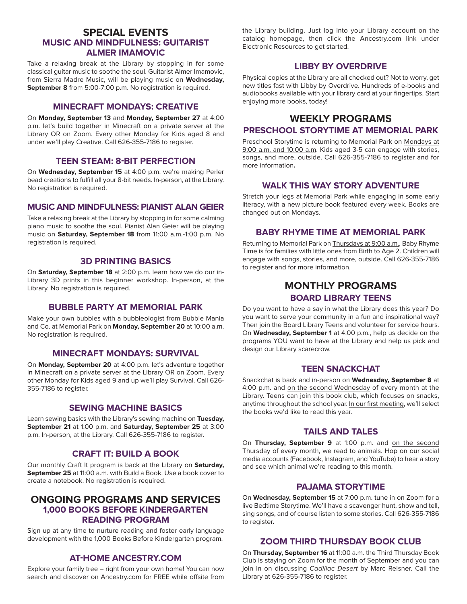#### **SPECIAL EVENTS MUSIC AND MINDFULNESS: GUITARIST ALMER IMAMOVIC**

Take a relaxing break at the Library by stopping in for some classical guitar music to soothe the soul. Guitarist Almer Imamovic, from Sierra Madre Music, will be playing music on **Wednesday, September 8** from 5:00-7:00 p.m. No registration is required.

#### **MINECRAFT MONDAYS: CREATIVE**

On **Monday, September 13** and **Monday, September 27** at 4:00 p.m. let's build together in Minecraft on a private server at the Library OR on Zoom. Every other Monday for Kids aged 8 and under we'll play Creative. Call 626-355-7186 to register.

#### **TEEN STEAM: 8-BIT PERFECTION**

On **Wednesday, September 15** at 4:00 p.m. we're making Perler bead creations to fulfill all your 8-bit needs. In-person, at the Library. No registration is required.

#### **MUSIC AND MINDFULNESS: PIANIST ALAN GEIER**

Take a relaxing break at the Library by stopping in for some calming piano music to soothe the soul. Pianist Alan Geier will be playing music on **Saturday, September 18** from 11:00 a.m.-1:00 p.m. No registration is required.

# **3D PRINTING BASICS**

On **Saturday, September 18** at 2:00 p.m. learn how we do our in-Library 3D prints in this beginner workshop. In-person, at the Library. No registration is required.

#### **BUBBLE PARTY AT MEMORIAL PARK**

Make your own bubbles with a bubbleologist from Bubble Mania and Co. at Memorial Park on **Monday, September 20** at 10:00 a.m. No registration is required.

#### **MINECRAFT MONDAYS: SURVIVAL**

On **Monday, September 20** at 4:00 p.m. let's adventure together in Minecraft on a private server at the Library OR on Zoom. Every other Monday for Kids aged 9 and up we'll play Survival. Call 626- 355-7186 to register.

#### **SEWING MACHINE BASICS**

Learn sewing basics with the Library's sewing machine on **Tuesday, September 21** at 1:00 p.m. and **Saturday, September 25** at 3:00 p.m. In-person, at the Library. Call 626-355-7186 to register.

#### **CRAFT IT: BUILD A BOOK**

Our monthly Craft It program is back at the Library on **Saturday, September 25** at 11:00 a.m. with Build a Book. Use a book cover to create a notebook. No registration is required.

# **ONGOING PROGRAMS AND SERVICES 1,000 BOOKS BEFORE KINDERGARTEN READING PROGRAM**

Sign up at any time to nurture reading and foster early language development with the 1,000 Books Before Kindergarten program.

# **AT-HOME ANCESTRY.COM**

Explore your family tree – right from your own home! You can now search and discover on Ancestry.com for FREE while offsite from

the Library building. Just log into your Library account on the catalog homepage, then click the Ancestry.com link under Electronic Resources to get started.

#### **LIBBY BY OVERDRIVE**

Physical copies at the Library are all checked out? Not to worry, get new titles fast with Libby by Overdrive. Hundreds of e-books and audiobooks available with your library card at your fingertips. Start enjoying more books, today!

# **WEEKLY PROGRAMS**

# **PRESCHOOL STORYTIME AT MEMORIAL PARK**

Preschool Storytime is returning to Memorial Park on Mondays at 9:00 a.m. and 10:00 a.m. Kids aged 3-5 can engage with stories, songs, and more, outside. Call 626-355-7186 to register and for more information**.**

#### **WALK THIS WAY STORY ADVENTURE**

Stretch your legs at Memorial Park while engaging in some early literacy, with a new picture book featured every week. Books are changed out on Mondays.

#### **BABY RHYME TIME AT MEMORIAL PARK**

Returning to Memorial Park on Thursdays at 9:00 a.m., Baby Rhyme Time is for families with little ones from Birth to Age 2. Children will engage with songs, stories, and more, outside. Call 626-355-7186 to register and for more information.

# **MONTHLY PROGRAMS BOARD LIBRARY TEENS**

Do you want to have a say in what the Library does this year? Do you want to serve your community in a fun and inspirational way? Then join the Board Library Teens and volunteer for service hours. On **Wednesday, September 1** at 4:00 p.m., help us decide on the programs YOU want to have at the Library and help us pick and design our Library scarecrow.

#### **TEEN SNACKCHAT**

Snackchat is back and in-person on **Wednesday, September 8** at 4:00 p.m. and on the second Wednesday of every month at the Library. Teens can join this book club, which focuses on snacks, anytime throughout the school year. In our first meeting, we'll select the books we'd like to read this year.

#### **TAILS AND TALES**

On **Thursday, September 9** at 1:00 p.m. and on the second Thursday of every month, we read to animals. Hop on our social media accounts (Facebook, Instagram, and YouTube) to hear a story and see which animal we're reading to this month.

# **PAJAMA STORYTIME**

On **Wednesday, September 15** at 7:00 p.m. tune in on Zoom for a live Bedtime Storytime. We'll have a scavenger hunt, show and tell, sing songs, and of course listen to some stories. Call 626-355-7186 to register**.**

#### **ZOOM THIRD THURSDAY BOOK CLUB**

On **Thursday, September 16** at 11:00 a.m. the Third Thursday Book Club is staying on Zoom for the month of September and you can join in on discussing Cadillac Desert by Marc Reisner. Call the Library at 626-355-7186 to register.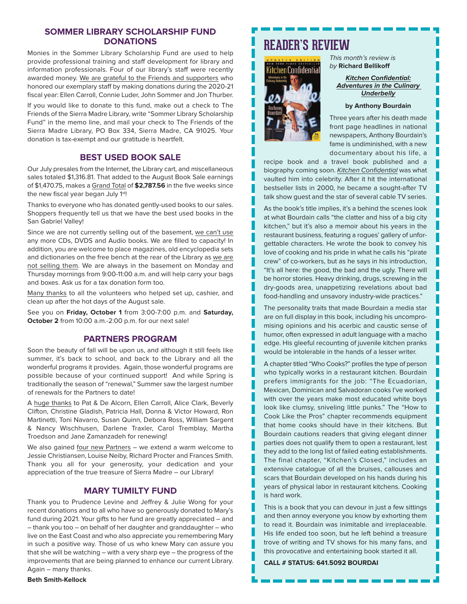#### **SOMMER LIBRARY SCHOLARSHIP FUND DONATIONS**

Monies in the Sommer Library Scholarship Fund are used to help provide professional training and staff development for library and information professionals. Four of our library's staff were recently awarded money. We are grateful to the Friends and supporters who honored our exemplary staff by making donations during the 2020-21 fiscal year: Ellen Carroll, Connie Luder, John Sommer and Jon Thurber.

If you would like to donate to this fund, make out a check to The Friends of the Sierra Madre Library, write "Sommer Library Scholarship Fund" in the memo line, and mail your check to The Friends of the Sierra Madre Library, PO Box 334, Sierra Madre, CA 91025. Your donation is tax-exempt and our gratitude is heartfelt.

#### **BEST USED BOOK SALE**

Our July presales from the Internet, the Library cart, and miscellaneous sales totaled \$1,316.81. That added to the August Book Sale earnings of \$1,470.75, makes a Grand Total of **\$2,787.56** in the five weeks since the new fiscal year began July 1<sup>st!</sup>

Thanks to everyone who has donated gently-used books to our sales. Shoppers frequently tell us that we have the best used books in the San Gabriel Valley!

Since we are not currently selling out of the basement, we can't use any more CDs, DVDS and Audio books. We are filled to capacity! In addition, you are welcome to place magazines, old encyclopedia sets and dictionaries on the free bench at the rear of the Library as we are not selling them. We are always in the basement on Monday and Thursday mornings from 9:00-11:00 a.m. and will help carry your bags and boxes. Ask us for a tax donation form too.

Many thanks to all the volunteers who helped set up, cashier, and clean up after the hot days of the August sale.

See you on **Friday, October 1** from 3:00-7:00 p.m. and **Saturday, October 2** from 10:00 a.m.-2:00 p.m. for our next sale!

#### **PARTNERS PROGRAM**

Soon the beauty of fall will be upon us, and although it still feels like summer, it's back to school, and back to the Library and all the wonderful programs it provides. Again, those wonderful programs are possible because of your continued support! And while Spring is traditionally the season of "renewal," Summer saw the largest number of renewals for the Partners to date!

A huge thanks to Pat & De Alcorn, Ellen Carroll, Alice Clark, Beverly Clifton, Christine Gladish, Patricia Hall, Donna & Victor Howard, Ron Martinetti, Toni Navarro, Susan Quinn, Debora Ross, William Sargent & Nancy Wischhusen, Darlene Traxler, Carol Tremblay, Martha Troedson and Jane Zamanzadeh for renewing!

We also gained four new Partners – we extend a warm welcome to Jessie Christiansen, Louise Neiby, Richard Procter and Frances Smith. Thank you all for your generosity, your dedication and your appreciation of the true treasure of Sierra Madre – our Library!

# **MARY TUMILTY FUND**

Thank you to Prudence Levine and Jeffrey & Julie Wong for your recent donations and to all who have so generously donated to Mary's fund during 2021. Your gifts to her fund are greatly appreciated – and – thank you too – on behalf of her daughter and granddaughter – who live on the East Coast and who also appreciate you remembering Mary in such a positive way. Those of us who knew Mary can assure you that she will be watching – with a very sharp eye – the progress of the improvements that are being planned to enhance our current Library. Again – many thanks.

# **READER'S REVIEW**



This month's review is by **Richard Bellikoff**

> **Kitchen Confidential: Adventures in the Culinary Underbelly**

#### **by Anthony Bourdain**

Three years after his death made front page headlines in national newspapers, Anthony Bourdain's fame is undiminished, with a new documentary about his life, a

H

recipe book and a travel book published and a biography coming soon. Kitchen Confidential was what vaulted him into celebrity. After it hit the international bestseller lists in 2000, he became a sought-after TV talk show guest and the star of several cable TV series.

As the book's title implies, it's a behind the scenes look at what Bourdain calls "the clatter and hiss of a big city kitchen," but it's also a memoir about his years in the restaurant business, featuring a rogues' gallery of unforgettable characters. He wrote the book to convey his love of cooking and his pride in what he calls his "pirate crew" of co-workers, but as he says in his introduction, "It's all here: the good, the bad and the ugly. There will be horror stories. Heavy drinking, drugs, screwing in the dry-goods area, unappetizing revelations about bad food-handling and unsavory industry-wide practices."

The personality traits that made Bourdain a media star are on full display in this book, including his uncompromising opinions and his acerbic and caustic sense of humor, often expressed in adult language with a macho edge. His gleeful recounting of juvenile kitchen pranks would be intolerable in the hands of a lesser writer.

A chapter titled "Who Cooks?" profiles the type of person who typically works in a restaurant kitchen. Bourdain prefers immigrants for the job: "The Ecuadorian, Mexican, Dominican and Salvadoran cooks I've worked with over the years make most educated white boys look like clumsy, sniveling little punks." The "How to Cook Like the Pros" chapter recommends equipment that home cooks should have in their kitchens. But Bourdain cautions readers that giving elegant dinner parties does not qualify them to open a restaurant, lest they add to the long list of failed eating establishments. The final chapter, "Kitchen's Closed," includes an extensive catalogue of all the bruises, callouses and scars that Bourdain developed on his hands during his years of physical labor in restaurant kitchens. Cooking is hard work.

This is a book that you can devour in just a few sittings and then annoy everyone you know by exhorting them to read it. Bourdain was inimitable and irreplaceable. His life ended too soon, but he left behind a treasure trove of writing and TV shows for his many fans, and this provocative and entertaining book started it all.

**CALL # STATUS: 641.5092 BOURDAI**

#### **Beth Smith-Kellock**